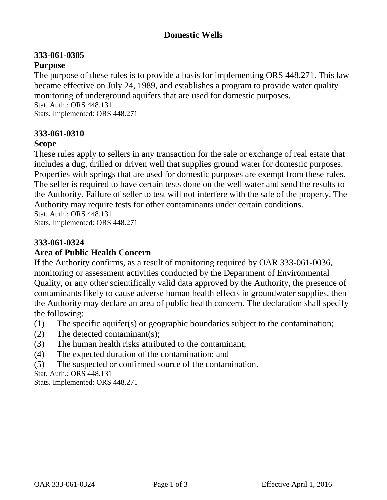## **Domestic Wells**

#### **333-061-0305 Purpose**

The purpose of these rules is to provide a basis for implementing ORS 448.271. This law became effective on July 24, 1989, and establishes a program to provide water quality monitoring of underground aquifers that are used for domestic purposes. Stat. Auth.: ORS 448.131 Stats. Implemented: ORS 448.271

## **333-061-0310**

#### **Scope**

These rules apply to sellers in any transaction for the sale or exchange of real estate that includes a dug, drilled or driven well that supplies ground water for domestic purposes. Properties with springs that are used for domestic purposes are exempt from these rules. The seller is required to have certain tests done on the well water and send the results to the Authority. Failure of seller to test will not interfere with the sale of the property. The Authority may require tests for other contaminants under certain conditions. Stat. Auth.: ORS 448.131

Stats. Implemented: ORS 448.271

# **333-061-0324**

# **Area of Public Health Concern**

If the Authority confirms, as a result of monitoring required by OAR 333-061-0036, monitoring or assessment activities conducted by the Department of Environmental Quality, or any other scientifically valid data approved by the Authority, the presence of contaminants likely to cause adverse human health effects in groundwater supplies, then the Authority may declare an area of public health concern. The declaration shall specify the following:

- (1) The specific aquifer(s) or geographic boundaries subject to the contamination;
- (2) The detected contaminant(s);
- (3) The human health risks attributed to the contaminant;
- (4) The expected duration of the contamination; and
- (5) The suspected or confirmed source of the contamination.

Stat. Auth.: ORS 448.131

Stats. Implemented: ORS 448.271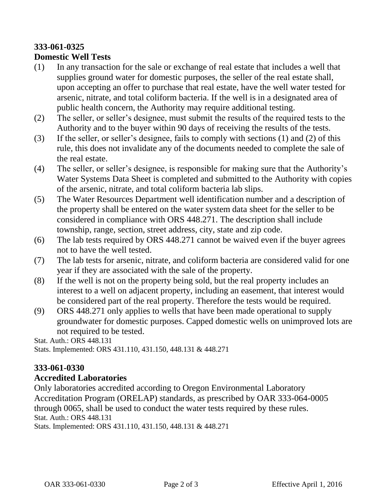# **333-061-0325**

## **Domestic Well Tests**

- (1) In any transaction for the sale or exchange of real estate that includes a well that supplies ground water for domestic purposes, the seller of the real estate shall, upon accepting an offer to purchase that real estate, have the well water tested for arsenic, nitrate, and total coliform bacteria. If the well is in a designated area of public health concern, the Authority may require additional testing.
- (2) The seller, or seller's designee, must submit the results of the required tests to the Authority and to the buyer within 90 days of receiving the results of the tests.
- (3) If the seller, or seller's designee, fails to comply with sections (1) and (2) of this rule, this does not invalidate any of the documents needed to complete the sale of the real estate.
- (4) The seller, or seller's designee, is responsible for making sure that the Authority's Water Systems Data Sheet is completed and submitted to the Authority with copies of the arsenic, nitrate, and total coliform bacteria lab slips.
- (5) The Water Resources Department well identification number and a description of the property shall be entered on the water system data sheet for the seller to be considered in compliance with ORS 448.271. The description shall include township, range, section, street address, city, state and zip code.
- (6) The lab tests required by ORS 448.271 cannot be waived even if the buyer agrees not to have the well tested.
- (7) The lab tests for arsenic, nitrate, and coliform bacteria are considered valid for one year if they are associated with the sale of the property.
- (8) If the well is not on the property being sold, but the real property includes an interest to a well on adjacent property, including an easement, that interest would be considered part of the real property. Therefore the tests would be required.
- (9) ORS 448.271 only applies to wells that have been made operational to supply groundwater for domestic purposes. Capped domestic wells on unimproved lots are not required to be tested.

Stat. Auth.: ORS 448.131 Stats. Implemented: ORS 431.110, 431.150, 448.131 & 448.271

# **333-061-0330**

**Accredited Laboratories**

Only laboratories accredited according to Oregon Environmental Laboratory Accreditation Program (ORELAP) standards, as prescribed by OAR 333-064-0005 through 0065, shall be used to conduct the water tests required by these rules. Stat. Auth.: ORS 448.131 Stats. Implemented: ORS 431.110, 431.150, 448.131 & 448.271